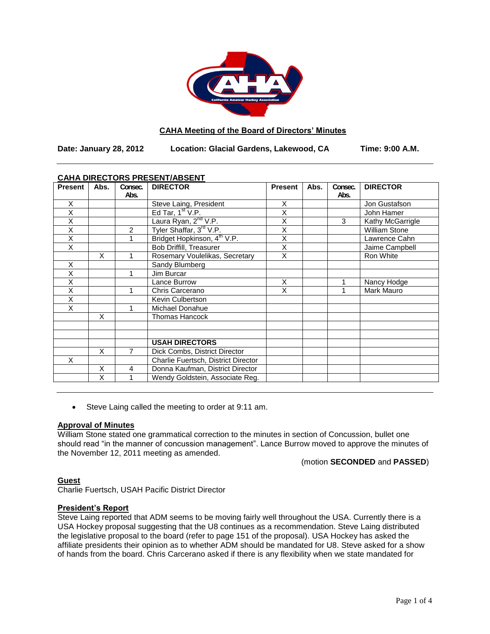

## **CAHA Meeting of the Board of Directors' Minutes**

**Date: January 28, 2012 Location: Glacial Gardens, Lakewood, CA Time: 9:00 A.M.**

## **CAHA DIRECTORS PRESENT/ABSENT**

| <b>Present</b>          | Abs. | Consec.<br>Abs. | <b>DIRECTOR</b>                         | <b>Present</b> | Abs. | Consec.<br>Abs. | <b>DIRECTOR</b>      |
|-------------------------|------|-----------------|-----------------------------------------|----------------|------|-----------------|----------------------|
|                         |      |                 |                                         |                |      |                 |                      |
| X                       |      |                 | Steve Laing, President                  | X              |      |                 | Jon Gustafson        |
| $\overline{\mathsf{x}}$ |      |                 | Ed Tar, $1st V.P.$                      | X              |      |                 | John Hamer           |
| $\overline{\mathsf{x}}$ |      |                 | Laura Ryan, 2 <sup>nd</sup> V.P.        | X              |      | 3               | Kathy McGarrigle     |
| X                       |      | $\overline{c}$  | Tyler Shaffar, 3 <sup>rd</sup> V.P.     | X              |      |                 | <b>William Stone</b> |
| Χ                       |      |                 | Bridget Hopkinson, 4 <sup>th</sup> V.P. | X              |      |                 | Lawrence Cahn        |
| X                       |      |                 | <b>Bob Driffill, Treasurer</b>          | X              |      |                 | Jaime Campbell       |
|                         | X    |                 | Rosemary Voulelikas, Secretary          | X              |      |                 | Ron White            |
| X                       |      |                 | Sandy Blumberg                          |                |      |                 |                      |
| Χ                       |      |                 | Jim Burcar                              |                |      |                 |                      |
| X                       |      |                 | Lance Burrow                            | X              |      |                 | Nancy Hodge          |
| Χ                       |      |                 | Chris Carcerano                         | X              |      | 1               | Mark Mauro           |
| X                       |      |                 | Kevin Culbertson                        |                |      |                 |                      |
| X                       |      |                 | Michael Donahue                         |                |      |                 |                      |
|                         | X    |                 | Thomas Hancock                          |                |      |                 |                      |
|                         |      |                 |                                         |                |      |                 |                      |
|                         |      |                 |                                         |                |      |                 |                      |
|                         |      |                 | <b>USAH DIRECTORS</b>                   |                |      |                 |                      |
|                         | X    | 7               | Dick Combs, District Director           |                |      |                 |                      |
| X                       |      |                 | Charlie Fuertsch, District Director     |                |      |                 |                      |
|                         | X    | 4               | Donna Kaufman, District Director        |                |      |                 |                      |
|                         | X    |                 | Wendy Goldstein, Associate Reg.         |                |      |                 |                      |

Steve Laing called the meeting to order at 9:11 am.

# **Approval of Minutes**

William Stone stated one grammatical correction to the minutes in section of Concussion, bullet one should read "in the manner of concussion management". Lance Burrow moved to approve the minutes of the November 12, 2011 meeting as amended.

(motion **SECONDED** and **PASSED**)

## **Guest**

Charlie Fuertsch, USAH Pacific District Director

## **President's Report**

Steve Laing reported that ADM seems to be moving fairly well throughout the USA. Currently there is a USA Hockey proposal suggesting that the U8 continues as a recommendation. Steve Laing distributed the legislative proposal to the board (refer to page 151 of the proposal). USA Hockey has asked the affiliate presidents their opinion as to whether ADM should be mandated for U8. Steve asked for a show of hands from the board. Chris Carcerano asked if there is any flexibility when we state mandated for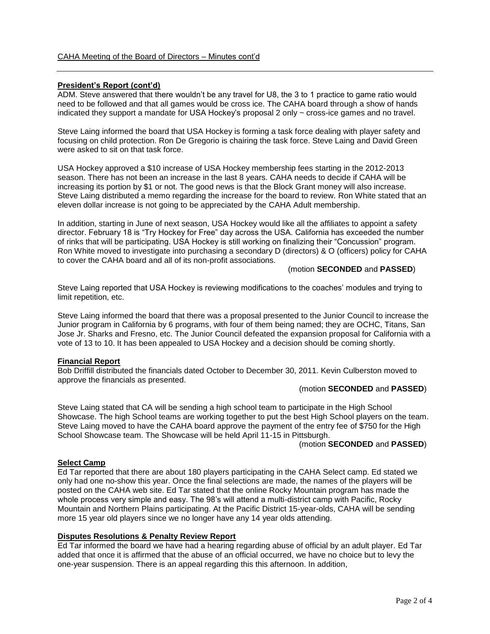# **President's Report (cont'd)**

ADM. Steve answered that there wouldn't be any travel for U8, the 3 to 1 practice to game ratio would need to be followed and that all games would be cross ice. The CAHA board through a show of hands indicated they support a mandate for USA Hockey's proposal 2 only ~ cross-ice games and no travel.

Steve Laing informed the board that USA Hockey is forming a task force dealing with player safety and focusing on child protection. Ron De Gregorio is chairing the task force. Steve Laing and David Green were asked to sit on that task force.

USA Hockey approved a \$10 increase of USA Hockey membership fees starting in the 2012-2013 season. There has not been an increase in the last 8 years. CAHA needs to decide if CAHA will be increasing its portion by \$1 or not. The good news is that the Block Grant money will also increase. Steve Laing distributed a memo regarding the increase for the board to review. Ron White stated that an eleven dollar increase is not going to be appreciated by the CAHA Adult membership.

In addition, starting in June of next season, USA Hockey would like all the affiliates to appoint a safety director. February 18 is "Try Hockey for Free" day across the USA. California has exceeded the number of rinks that will be participating. USA Hockey is still working on finalizing their "Concussion" program. Ron White moved to investigate into purchasing a secondary D (directors) & O (officers) policy for CAHA to cover the CAHA board and all of its non-profit associations.

## (motion **SECONDED** and **PASSED**)

Steve Laing reported that USA Hockey is reviewing modifications to the coaches' modules and trying to limit repetition, etc.

Steve Laing informed the board that there was a proposal presented to the Junior Council to increase the Junior program in California by 6 programs, with four of them being named; they are OCHC, Titans, San Jose Jr. Sharks and Fresno, etc. The Junior Council defeated the expansion proposal for California with a vote of 13 to 10. It has been appealed to USA Hockey and a decision should be coming shortly.

### **Financial Report**

Bob Driffill distributed the financials dated October to December 30, 2011. Kevin Culberston moved to approve the financials as presented.

### (motion **SECONDED** and **PASSED**)

Steve Laing stated that CA will be sending a high school team to participate in the High School Showcase. The high School teams are working together to put the best High School players on the team. Steve Laing moved to have the CAHA board approve the payment of the entry fee of \$750 for the High School Showcase team. The Showcase will be held April 11-15 in Pittsburgh.

#### (motion **SECONDED** and **PASSED**)

## **Select Camp**

Ed Tar reported that there are about 180 players participating in the CAHA Select camp. Ed stated we only had one no-show this year. Once the final selections are made, the names of the players will be posted on the CAHA web site. Ed Tar stated that the online Rocky Mountain program has made the whole process very simple and easy. The 98's will attend a multi-district camp with Pacific, Rocky Mountain and Northern Plains participating. At the Pacific District 15-year-olds, CAHA will be sending more 15 year old players since we no longer have any 14 year olds attending.

### **Disputes Resolutions & Penalty Review Report**

Ed Tar informed the board we have had a hearing regarding abuse of official by an adult player. Ed Tar added that once it is affirmed that the abuse of an official occurred, we have no choice but to levy the one-year suspension. There is an appeal regarding this this afternoon. In addition,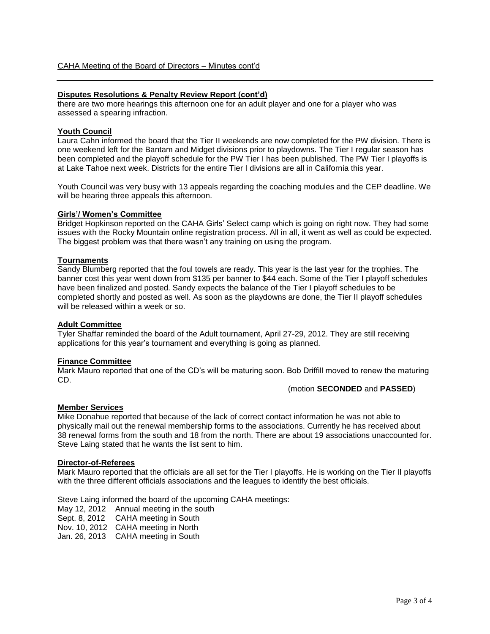## **Disputes Resolutions & Penalty Review Report (cont'd)**

there are two more hearings this afternoon one for an adult player and one for a player who was assessed a spearing infraction.

### **Youth Council**

Laura Cahn informed the board that the Tier II weekends are now completed for the PW division. There is one weekend left for the Bantam and Midget divisions prior to playdowns. The Tier I regular season has been completed and the playoff schedule for the PW Tier I has been published. The PW Tier I playoffs is at Lake Tahoe next week. Districts for the entire Tier I divisions are all in California this year.

Youth Council was very busy with 13 appeals regarding the coaching modules and the CEP deadline. We will be hearing three appeals this afternoon.

### **Girls'/ Women's Committee**

Bridget Hopkinson reported on the CAHA Girls' Select camp which is going on right now. They had some issues with the Rocky Mountain online registration process. All in all, it went as well as could be expected. The biggest problem was that there wasn't any training on using the program.

## **Tournaments**

Sandy Blumberg reported that the foul towels are ready. This year is the last year for the trophies. The banner cost this year went down from \$135 per banner to \$44 each. Some of the Tier I playoff schedules have been finalized and posted. Sandy expects the balance of the Tier I playoff schedules to be completed shortly and posted as well. As soon as the playdowns are done, the Tier II playoff schedules will be released within a week or so.

### **Adult Committee**

Tyler Shaffar reminded the board of the Adult tournament, April 27-29, 2012. They are still receiving applications for this year's tournament and everything is going as planned.

### **Finance Committee**

Mark Mauro reported that one of the CD's will be maturing soon. Bob Driffill moved to renew the maturing CD.

(motion **SECONDED** and **PASSED**)

### **Member Services**

Mike Donahue reported that because of the lack of correct contact information he was not able to physically mail out the renewal membership forms to the associations. Currently he has received about 38 renewal forms from the south and 18 from the north. There are about 19 associations unaccounted for. Steve Laing stated that he wants the list sent to him.

### **Director-of-Referees**

Mark Mauro reported that the officials are all set for the Tier I playoffs. He is working on the Tier II playoffs with the three different officials associations and the leagues to identify the best officials.

Steve Laing informed the board of the upcoming CAHA meetings:

May 12, 2012 Annual meeting in the south

Sept. 8, 2012 CAHA meeting in South

Nov. 10, 2012 CAHA meeting in North

Jan. 26, 2013 CAHA meeting in South